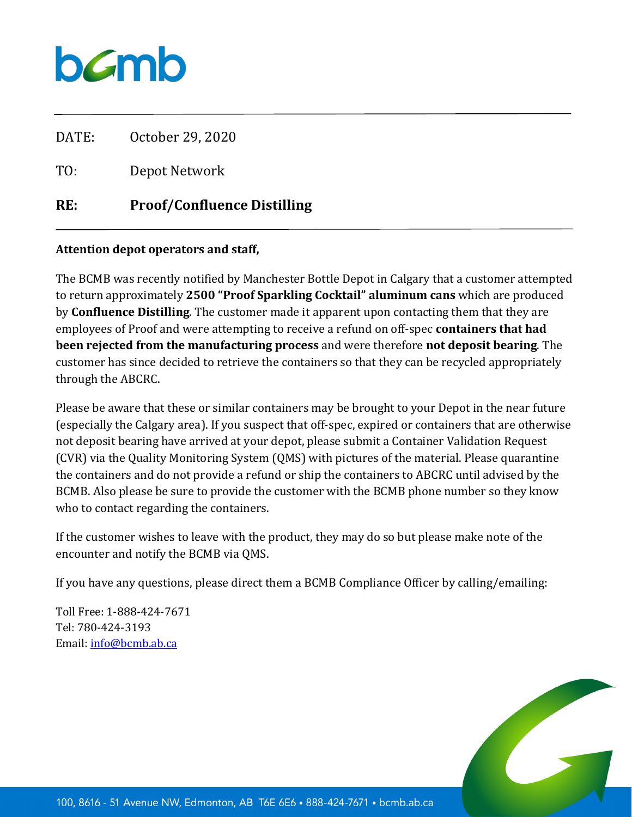## bamb

DATE: October 29, 2020

TO: Depot Network

## **RE: Proof/Confluence Distilling**

## **Attention depot operators and staff,**

The BCMB was recently notified by Manchester Bottle Depot in Calgary that a customer attempted to return approximately **2500 "Proof Sparkling Cocktail" aluminum cans** which are produced by **Confluence Distilling**. The customer made it apparent upon contacting them that they are employees of Proof and were attempting to receive a refund on off-spec **containers that had been rejected from the manufacturing process** and were therefore **not deposit bearing**. The customer has since decided to retrieve the containers so that they can be recycled appropriately through the ABCRC.

Please be aware that these or similar containers may be brought to your Depot in the near future (especially the Calgary area). If you suspect that off-spec, expired or containers that are otherwise not deposit bearing have arrived at your depot, please submit a Container Validation Request (CVR) via the Quality Monitoring System (QMS) with pictures of the material. Please quarantine the containers and do not provide a refund or ship the containers to ABCRC until advised by the BCMB. Also please be sure to provide the customer with the BCMB phone number so they know who to contact regarding the containers.

If the customer wishes to leave with the product, they may do so but please make note of the encounter and notify the BCMB via QMS.

If you have any questions, please direct them a BCMB Compliance Officer by calling/emailing:

Toll Free: 1-888-424-7671 Tel: 780-424-3193 Email[: info@bcmb.ab.ca](mailto:info@bcmb.ab.ca)